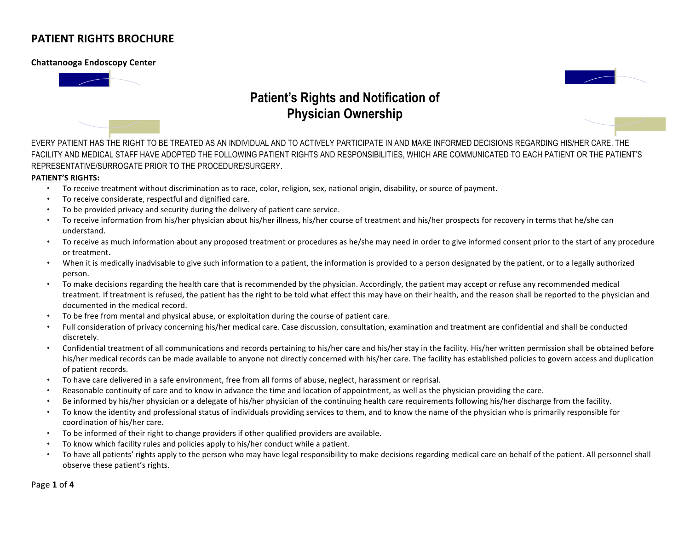### **Chattanooga Endoscopy Center**





EVERY PATIENT HAS THE RIGHT TO BE TREATED AS AN INDIVIDUAL AND TO ACTIVELY PARTICIPATE IN AND MAKE INFORMED DECISIONS REGARDING HIS/HER CARE. THE FACILITY AND MEDICAL STAFF HAVE ADOPTED THE FOLLOWING PATIENT RIGHTS AND RESPONSIBILITIES, WHICH ARE COMMUNICATED TO EACH PATIENT OR THE PATIENT'S REPRESENTATIVE/SURROGATE PRIOR TO THE PROCEDURE/SURGERY.

#### **PATIENT'S RIGHTS:**

- To receive treatment without discrimination as to race, color, religion, sex, national origin, disability, or source of payment.
- To receive considerate, respectful and dignified care.
- To be provided privacy and security during the delivery of patient care service.
- To receive information from his/her physician about his/her illness, his/her course of treatment and his/her prospects for recovery in terms that he/she can understand.
- To receive as much information about any proposed treatment or procedures as he/she may need in order to give informed consent prior to the start of any procedure or treatment.
- When it is medically inadvisable to give such information to a patient, the information is provided to a person designated by the patient, or to a legally authorized person.
- To make decisions regarding the health care that is recommended by the physician. Accordingly, the patient may accept or refuse any recommended medical treatment. If treatment is refused, the patient has the right to be told what effect this may have on their health, and the reason shall be reported to the physician and documented in the medical record.
- To be free from mental and physical abuse, or exploitation during the course of patient care.
- Full consideration of privacy concerning his/her medical care. Case discussion, consultation, examination and treatment are confidential and shall be conducted discretely.
- Confidential treatment of all communications and records pertaining to his/her care and his/her stay in the facility. His/her written permission shall be obtained before his/her medical records can be made available to anyone not directly concerned with his/her care. The facility has established policies to govern access and duplication of patient records.
- To have care delivered in a safe environment, free from all forms of abuse, neglect, harassment or reprisal.
- Reasonable continuity of care and to know in advance the time and location of appointment, as well as the physician providing the care.
- Be informed by his/her physician or a delegate of his/her physician of the continuing health care requirements following his/her discharge from the facility.
- To know the identity and professional status of individuals providing services to them, and to know the name of the physician who is primarily responsible for coordination of his/her care.
- To be informed of their right to change providers if other qualified providers are available.
- To know which facility rules and policies apply to his/her conduct while a patient.
- To have all patients' rights apply to the person who may have legal responsibility to make decisions regarding medical care on behalf of the patient. All personnel shall observe these patient's rights.

Page **1** of **4**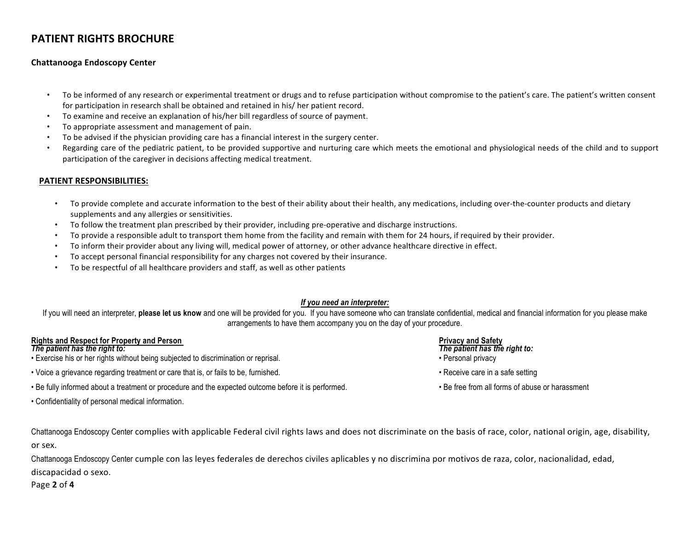### **Chattanooga Endoscopy Center**

- To be informed of any research or experimental treatment or drugs and to refuse participation without compromise to the patient's care. The patient's written consent for participation in research shall be obtained and retained in his/ her patient record.
- To examine and receive an explanation of his/her bill regardless of source of payment.
- To appropriate assessment and management of pain.
- To be advised if the physician providing care has a financial interest in the surgery center.
- Regarding care of the pediatric patient, to be provided supportive and nurturing care which meets the emotional and physiological needs of the child and to support participation of the caregiver in decisions affecting medical treatment.

### **PATIENT RESPONSIBILITIES:**

- To provide complete and accurate information to the best of their ability about their health, any medications, including over-the-counter products and dietary supplements and any allergies or sensitivities.
- To follow the treatment plan prescribed by their provider, including pre-operative and discharge instructions.
- To provide a responsible adult to transport them home from the facility and remain with them for 24 hours, if required by their provider.
- To inform their provider about any living will, medical power of attorney, or other advance healthcare directive in effect.
- To accept personal financial responsibility for any charges not covered by their insurance.
- To be respectful of all healthcare providers and staff, as well as other patients

### *If you need an interpreter:*

If you will need an interpreter, **please let us know** and one will be provided for you. If you have someone who can translate confidential, medical and financial information for you please make arrangements to have them accompany you on the day of your procedure.

# **Rights and Respect for Property and Person Privacy and Safety Privacy and Safety**<br> **The patient has the right to:**<br> **Privacy and Safety**

- Exercise his or her rights without being subjected to discrimination or reprisal. The property of the privacy versonal privacy
- Voice a grievance regarding treatment or care that is, or fails to be, furnished. Receive care in a safe setting
- Be fully informed about a treatment or procedure and the expected outcome before it is performed. <br>• Be free from all forms of abuse or harassment

• Confidentiality of personal medical information.

- 
- *The patient has the right to: The patient has the right to:*
- 
- 
- 

Chattanooga Endoscopy Center complies with applicable Federal civil rights laws and does not discriminate on the basis of race, color, national origin, age, disability, or sex.

Chattanooga Endoscopy Center cumple con las leyes federales de derechos civiles aplicables y no discrimina por motivos de raza, color, nacionalidad, edad, discapacidad o sexo.

Page **2** of **4**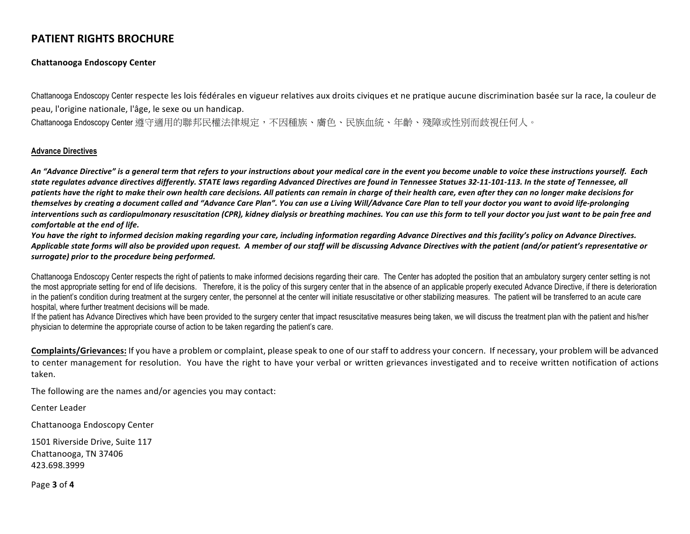### **Chattanooga Endoscopy Center**

Chattanooga Endoscopy Center respecte les lois fédérales en vigueur relatives aux droits civiques et ne pratique aucune discrimination basée sur la race, la couleur de peau, l'origine nationale, l'âge, le sexe ou un handicap.

Chattanooga Endoscopy Center 遵守適用的聯邦民權法律規定,不因種族、膚色、民族血統、年齡、殘障或性別而歧視任何人。

#### **Advance Directives**

An "Advance Directive" is a general term that refers to your instructions about your medical care in the event you become unable to voice these instructions yourself. Each state regulates advance directives differently. STATE laws regarding Advanced Directives are found in Tennessee Statues 32-11-101-113. In the state of Tennessee, all patients have the right to make their own health care decisions. All patients can remain in charge of their health care, even after they can no longer make decisions for themselves by creating a document called and "Advance Care Plan". You can use a Living Will/Advance Care Plan to tell your doctor you want to avoid life-prolonging interventions such as cardiopulmonary resuscitation (CPR), kidney dialysis or breathing machines. You can use this form to tell your doctor you just want to be pain free and *comfortable at the end of life.* 

You have the right to informed decision making regarding your care, including information regarding Advance Directives and this facility's policy on Advance Directives. Applicable state forms will also be provided upon request. A member of our staff will be discussing Advance Directives with the patient (and/or patient's representative or surrogate) prior to the procedure being performed.

Chattanooga Endoscopy Center respects the right of patients to make informed decisions regarding their care. The Center has adopted the position that an ambulatory surgery center setting is not the most appropriate setting for end of life decisions. Therefore, it is the policy of this surgery center that in the absence of an applicable properly executed Advance Directive, if there is deterioration in the patient's condition during treatment at the surgery center, the personnel at the center will initiate resuscitative or other stabilizing measures. The patient will be transferred to an acute care hospital, where further treatment decisions will be made.

If the patient has Advance Directives which have been provided to the surgery center that impact resuscitative measures being taken, we will discuss the treatment plan with the patient and his/her physician to determine the appropriate course of action to be taken regarding the patient's care.

**Complaints/Grievances:** If you have a problem or complaint, please speak to one of our staff to address your concern. If necessary, your problem will be advanced to center management for resolution. You have the right to have your verbal or written grievances investigated and to receive written notification of actions taken. 

The following are the names and/or agencies you may contact:

Center Leader

Chattanooga Endoscopy Center

1501 Riverside Drive, Suite 117 Chattanooga, TN 37406 423.698.3999

Page **3** of **4**